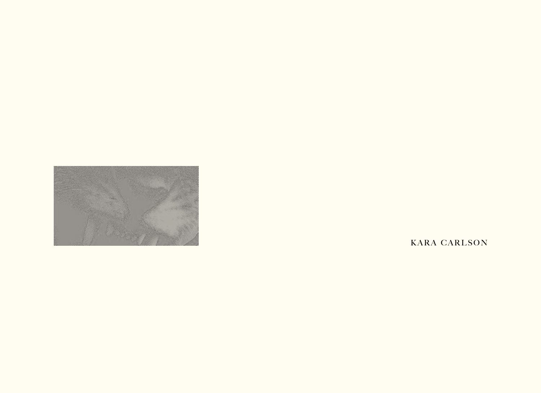

KARA CARLSON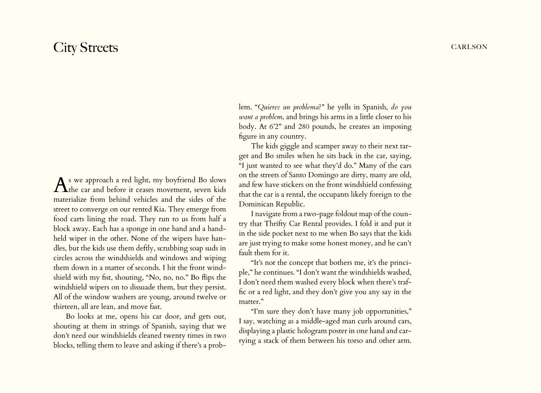## City Streets CARLSON

As we approach a red light, my boyfriend Bo slows  $\Lambda$  the car and before it ceases movement, seven kids materialize from behind vehicles and the sides of the street to converge on our rented Kia. They emerge from food carts lining the road. They run to us from half a block away. Each has a sponge in one hand and a handheld wiper in the other. None of the wipers have handles, but the kids use them deftly, scrubbing soap suds in circles across the windshields and windows and wiping them down in a matter of seconds. I hit the front windshield with my fist, shouting, "No, no, no." Bo flips the windshield wipers on to dissuade them, but they persist. All of the window washers are young, around twelve or thirteen, all are lean, and move fast.

Bo looks at me, opens his car door, and gets out, shouting at them in strings of Spanish, saying that we don't need our windshields cleaned twenty times in two blocks, telling them to leave and asking if there's a prob-

lem. "*Quieres un problema*?" he yells in Spanish, *do you want a problem*, and brings his arms in a little closer to his body. At 6'2" and 280 pounds, he creates an imposing figure in any country.

The kids giggle and scamper away to their next target and Bo smiles when he sits back in the car, saying, "I just wanted to see what they'd do." Many of the cars on the streets of Santo Domingo are dirty, many are old, and few have stickers on the front windshield confessing that the car is a rental, the occupants likely foreign to the Dominican Republic.

I navigate from a two-page foldout map of the country that Thrifty Car Rental provides. I fold it and put it in the side pocket next to me when Bo says that the kids are just trying to make some honest money, and he can't fault them for it.

"It's not the concept that bothers me, it's the principle," he continues. "I don't want the windshields washed, I don't need them washed every block when there's traffic or a red light, and they don't give you any say in the matter."

"I'm sure they don't have many job opportunities," I say, watching as a middle-aged man curls around cars, displaying a plastic hologram poster in one hand and carrying a stack of them between his torso and other arm.